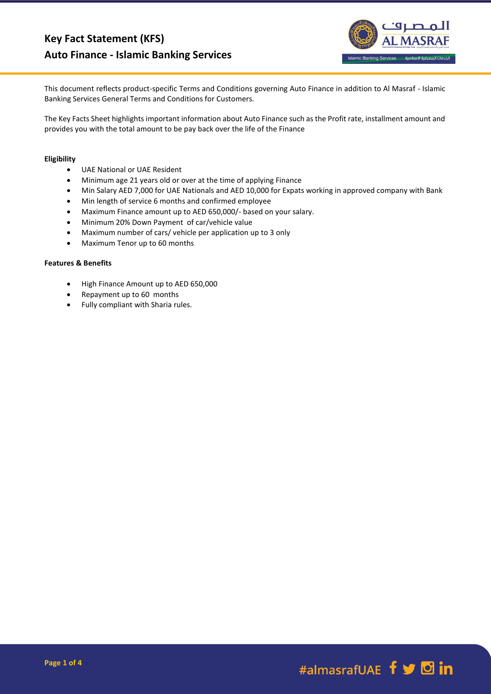

This document reflects product-specific Terms and Conditions governing Auto Finance in addition to Al Masraf - Islamic Banking Services General Terms and Conditions for Customers.

The Key Facts Sheet highlights important information about Auto Finance such as the Profit rate, installment amount and provides you with the total amount to be pay back over the life of the Finance

## **Eligibility**

- UAE National or UAE Resident
- Minimum age 21 years old or over at the time of applying Finance
- Min Salary AED 7,000 for UAE Nationals and AED 10,000 for Expats working in approved company with Bank
- Min length of service 6 months and confirmed employee
- Maximum Finance amount up to AED 650,000/- based on your salary.
- Minimum 20% Down Payment of car/vehicle value
- Maximum number of cars/ vehicle per application up to 3 only
- Maximum Tenor up to 60 months

## **Features & Benefits**

- High Finance Amount up to AED 650,000
- Repayment up to 60 months
- Fully compliant with Sharia rules.

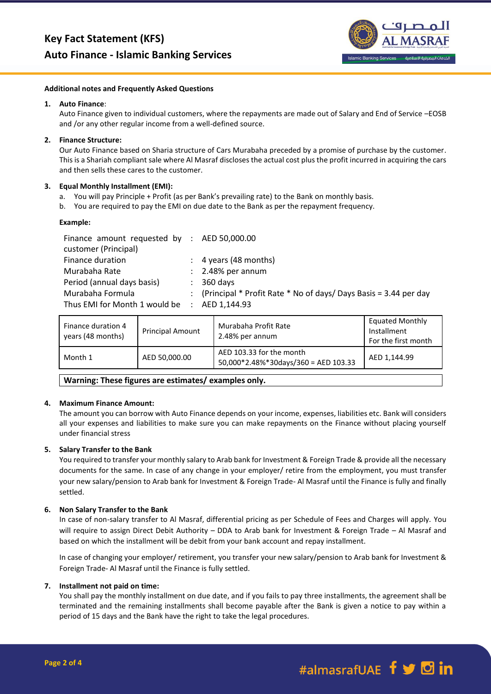

#### **Additional notes and Frequently Asked Questions**

### **1. Auto Finance**:

Auto Finance given to individual customers, where the repayments are made out of Salary and End of Service –EOSB and /or any other regular income from a well-defined source.

# **2. Finance Structure:**

Our Auto Finance based on Sharia structure of Cars Murabaha preceded by a promise of purchase by the customer. This is a Shariah compliant sale where Al Masraf discloses the actual cost plus the profit incurred in acquiring the cars and then sells these cares to the customer.

## **3. Equal Monthly Installment (EMI):**

- a. You will pay Principle + Profit (as per Bank's prevailing rate) to the Bank on monthly basis.
- b. You are required to pay the EMI on due date to the Bank as per the repayment frequency.

### **Example:**

| Finance amount requested by : $AED 50,000.00$ |                                                                    |
|-----------------------------------------------|--------------------------------------------------------------------|
| customer (Principal)                          |                                                                    |
| Finance duration                              | $\therefore$ 4 years (48 months)                                   |
| Murabaha Rate                                 | $\therefore$ 2.48% per annum                                       |
| Period (annual days basis)                    | $\therefore$ 360 days                                              |
| Murabaha Formula                              | : (Principal * Profit Rate * No of days/ Days Basis = 3.44 per day |
| Thus EMI for Month 1 would be : AED 1,144.93  |                                                                    |

| Finance duration 4<br>years (48 months) | <b>Principal Amount</b> | Murabaha Profit Rate<br>2.48% per annum                          | <b>Equated Monthly</b><br>Installment<br>For the first month |
|-----------------------------------------|-------------------------|------------------------------------------------------------------|--------------------------------------------------------------|
| Month 1                                 | AED 50,000.00           | AED 103.33 for the month<br>50,000*2.48%*30days/360 = AED 103.33 | AED 1.144.99                                                 |

**Warning: These figures are estimates/ examples only.**

## **4. Maximum Finance Amount:**

The amount you can borrow with Auto Finance depends on your income, expenses, liabilities etc. Bank will considers all your expenses and liabilities to make sure you can make repayments on the Finance without placing yourself under financial stress

## **5. Salary Transfer to the Bank**

You required to transfer your monthly salary to Arab bank for Investment & Foreign Trade & provide all the necessary documents for the same. In case of any change in your employer/ retire from the employment, you must transfer your new salary/pension to Arab bank for Investment & Foreign Trade- Al Masraf until the Finance is fully and finally settled.

## **6. Non Salary Transfer to the Bank**

In case of non-salary transfer to Al Masraf, differential pricing as per Schedule of Fees and Charges will apply. You will require to assign Direct Debit Authority – DDA to Arab bank for Investment & Foreign Trade – Al Masraf and based on which the installment will be debit from your bank account and repay installment.

In case of changing your employer/ retirement, you transfer your new salary/pension to Arab bank for Investment & Foreign Trade- Al Masraf until the Finance is fully settled.

#### **7. Installment not paid on time:**

You shall pay the monthly installment on due date, and if you fails to pay three installments, the agreement shall be terminated and the remaining installments shall become payable after the Bank is given a notice to pay within a period of 15 days and the Bank have the right to take the legal procedures.

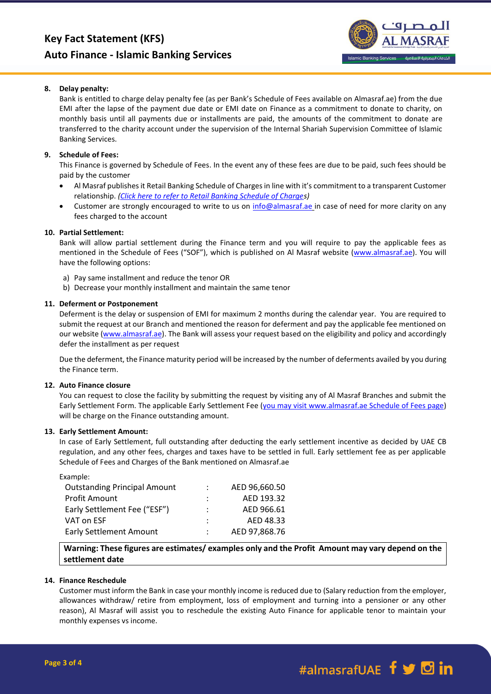# **Key Fact Statement (KFS) Auto Finance - Islamic Banking Services**



## **8. Delay penalty:**

Bank is entitled to charge delay penalty fee (as per Bank's Schedule of Fees available on Almasraf.ae) from the due EMI after the lapse of the payment due date or EMI date on Finance as a commitment to donate to charity, on monthly basis until all payments due or installments are paid, the amounts of the commitment to donate are transferred to the charity account under the supervision of the Internal Shariah Supervision Committee of Islamic Banking Services.

### **9. Schedule of Fees:**

This Finance is governed by Schedule of Fees. In the event any of these fees are due to be paid, such fees should be paid by the customer

- Al Masraf publishes it Retail Banking Schedule of Charges in line with it's commitment to a transparent Customer relationship. *[\(Click here to refer to Retail Banking Schedule of Charges](https://almasraf.ae/wp-content/uploads/2021/01/Islamic_Banking_Personal.pdf))*
- Customer are strongly encouraged to write to us on [info@almasraf.ae](mailto:info@almasraf.ae) in case of need for more clarity on any fees charged to the account

## **10. Partial Settlement:**

Bank will allow partial settlement during the Finance term and you will require to pay the applicable fees as mentioned in the Schedule of Fees ("SOF"), which is published on Al Masraf website [\(www.almasraf.ae\)](http://www.almasraf.ae/). You will have the following options:

- a) Pay same installment and reduce the tenor OR
- b) Decrease your monthly installment and maintain the same tenor

### **11. Deferment or Postponement**

Deferment is the delay or suspension of EMI for maximum 2 months during the calendar year. You are required to submit the request at our Branch and mentioned the reason for deferment and pay the applicable fee mentioned on our website [\(www.almasraf.ae\)](http://www.almasraf.ae/). The Bank will assess your request based on the eligibility and policy and accordingly defer the installment as per request

Due the deferment, the Finance maturity period will be increased by the number of deferments availed by you during the Finance term.

#### **12. Auto Finance closure**

You can request to close the facility by submitting the request by visiting any of Al Masraf Branches and submit the Early Settlement Form. The applicable Early Settlement Fee (you may visit www.almasraf.ae Schedule of Fees page) will be charge on the Finance outstanding amount.

#### **13. Early Settlement Amount:**

In case of Early Settlement, full outstanding after deducting the early settlement incentive as decided by UAE CB regulation, and any other fees, charges and taxes have to be settled in full. Early settlement fee as per applicable Schedule of Fees and Charges of the Bank mentioned on Almasraf.ae

| Example:                            |                      |               |
|-------------------------------------|----------------------|---------------|
| <b>Outstanding Principal Amount</b> | $\mathcal{L}$        | AED 96,660.50 |
| <b>Profit Amount</b>                | $\ddot{\phantom{0}}$ | AED 193.32    |
| Early Settlement Fee ("ESF")        | $\ddot{\phantom{a}}$ | AED 966.61    |
| VAT on ESF                          | $\ddot{\phantom{a}}$ | AED 48.33     |
| <b>Early Settlement Amount</b>      |                      | AED 97,868.76 |
|                                     |                      |               |

**Warning: These figures are estimates/ examples only and the Profit Amount may vary depend on the settlement date** 

# **14. Finance Reschedule**

Customer must inform the Bank in case your monthly income is reduced due to (Salary reduction from the employer, allowances withdraw/ retire from employment, loss of employment and turning into a pensioner or any other reason), Al Masraf will assist you to reschedule the existing Auto Finance for applicable tenor to maintain your monthly expenses vs income.